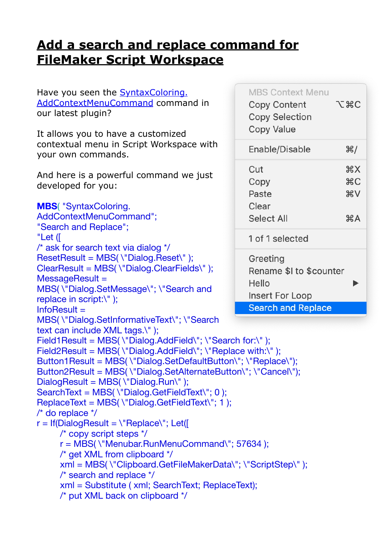## **[Add a search and replace command for](https://www.mbs-plugins.com/archive/2019-11-14/Add_a_search_and_replace_comma/monkeybreadsoftware_blog_filemaker)  [FileMaker Script Workspace](https://www.mbs-plugins.com/archive/2019-11-14/Add_a_search_and_replace_comma/monkeybreadsoftware_blog_filemaker)**

Have you seen the [SyntaxColoring.](http://www.mbsplugins.eu/SyntaxColoringAddContextMenuCommand.shtml)  [AddContextMenuCommand comman](http://www.mbsplugins.eu/SyntaxColoringAddContextMenuCommand.shtml)d in our latest plugin?

It allows you to have a customized contextual menu in Script Workspace with your own commands.

And here is a powerful command we just developed for you:

```
MBS( "SyntaxColoring. 
AddContextMenuCommand"; 
"Search and Replace"; 
"Let ([ 
/* ask for search text via dialog */
ResetResult = MBS(\"Dialog.Reset\");
ClearResult = MBS( \"Dialog.ClearFields\" );
MessageResult =MBS( \"Dialog.SetMessage\"; \"Search and 
replace in script:\" );
InfoResult = 
MBS( \"Dialog.SetInformativeText\"; \"Search 
text can include XML tags.\" );
Field1Result = MBS(\"Dialog.AddField\"; \"Search for:\" ):
Field2Result = MBS(\"Dialog.AddField\"; \"Replace with:\");
Button1Result = MBS( \"Dialog.SetDefaultButton\"; \"Replace\");
Button2Result = MBS( \"Dialog.SetAlternateButton\"; \"Cancel\");
DialoqResult = MBS(\U{r}Dialoq.Run\' );
SearchText = MBS(\"Dialog.GetFieldText\"; 0);
ReplaceText = MBS(\"Dialog.GetFieldText\"; 1);
/* do replace */
r = \text{If}(\text{DialogResult} = \text{``Replace\text{''}; Let})/* copy script steps */
     r = MBS( \"Menubar.RunMenuCommand\"; 57634 ); 
     /* get XML from clipboard */
     xml = MBS( \"Clipboard.GetFileMakerData\"; \"ScriptStep\" ); 
     /* search and replace */
     xml = Substitute ( xml; SearchText; ReplaceText); 
     /* put XML back on clipboard */
```

| <b>MBS Context Menu</b><br><b>Copy Content</b><br><b>Copy Selection</b><br>Copy Value | てまC                  |
|---------------------------------------------------------------------------------------|----------------------|
| Enable/Disable                                                                        | ୫∦                   |
| Cut<br>Copy<br>Paste<br>Clear<br><b>Select All</b>                                    | жx<br>жC<br>₩V<br>æА |
| 1 of 1 selected                                                                       |                      |
| Greeting<br>Rename \$I to \$counter<br>Hello<br>Insert For Loop<br>Search and Deplace |                      |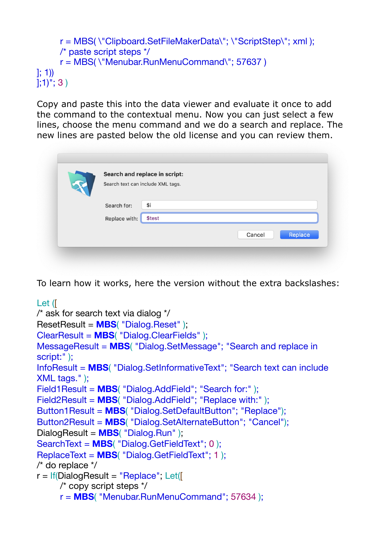```
r = MBS( \"Clipboard.SetFileMakerData\"; \"ScriptStep\"; xml ); 
     /* paste script steps */
      r = MBS( \"Menubar.RunMenuCommand\"; 57637 ) 
]; 1))
|;1)^{n};3)
```
Copy and paste this into the data viewer and evaluate it once to add the command to the contextual menu. Now you can just select a few lines, choose the menu command and we do a search and replace. The new lines are pasted below the old license and you can review them.

|               | Search and replace in script:     |                   |
|---------------|-----------------------------------|-------------------|
|               | Search text can include XML tags. |                   |
| Search for:   | \$i                               |                   |
| Replace with: | \$test                            |                   |
|               |                                   | Replace<br>Cancel |

To learn how it works, here the version without the extra backslashes:

```
Let ([ 
/* ask for search text via dialog */
ResetResult = MBS( "Dialog.Reset" );
ClearResult = MBS( "Dialog.ClearFields" );
MessageResult = MBS( "Dialog.SetMessage"; "Search and replace in 
script:" );
InfoResult = MBS( "Dialog.SetInformativeText"; "Search text can include 
XML tags." );
Field1Result = MBS( "Dialog.AddField"; "Search for:" );
Field2Result = MBS( "Dialog.AddField"; "Replace with:" );
Button1Result = MBS( "Dialog.SetDefaultButton"; "Replace");
Button2Result = MBS( "Dialog.SetAlternateButton"; "Cancel");
DialogResult = MBS( "Dialog.Run" );
SearchText = MBS( "Dialog.GetFieldText"; 0 );
ReplaceText = MBS( "Dialog.GetFieldText"; 1 );
/* do replace */
r = \text{If}(DialogResult = "Replace"; Let([
     /* copy script steps */
     r = MBS( "Menubar.RunMenuCommand"; 57634 );
```